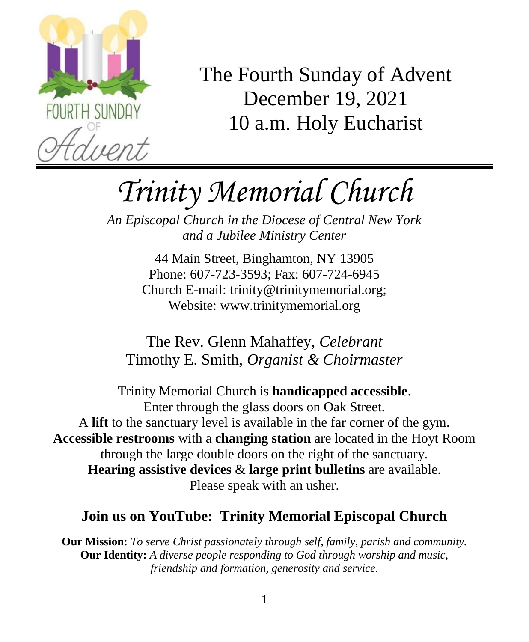

The Fourth Sunday of Advent December 19, 2021 10 a.m. Holy Eucharist

# *Trinity Memorial Church*

*An Episcopal Church in the Diocese of Central New York and a Jubilee Ministry Center*

> 44 Main Street, Binghamton, NY 13905 Phone: 607-723-3593; Fax: 607-724-6945 Church E-mail: trinity@trinitymemorial.org; Website: www.trinitymemorial.org

The Rev. Glenn Mahaffey, *Celebrant* Timothy E. Smith, *Organist & Choirmaster* 

Trinity Memorial Church is **handicapped accessible**. Enter through the glass doors on Oak Street. A **lift** to the sanctuary level is available in the far corner of the gym. **Accessible restrooms** with a **changing station** are located in the Hoyt Room through the large double doors on the right of the sanctuary. **Hearing assistive devices** & **large print bulletins** are available. Please speak with an usher.

# **Join us on YouTube: Trinity Memorial Episcopal Church**

**Our Mission:** *To serve Christ passionately through self, family, parish and community.* **Our Identity:** *A diverse people responding to God through worship and music, friendship and formation, generosity and service.*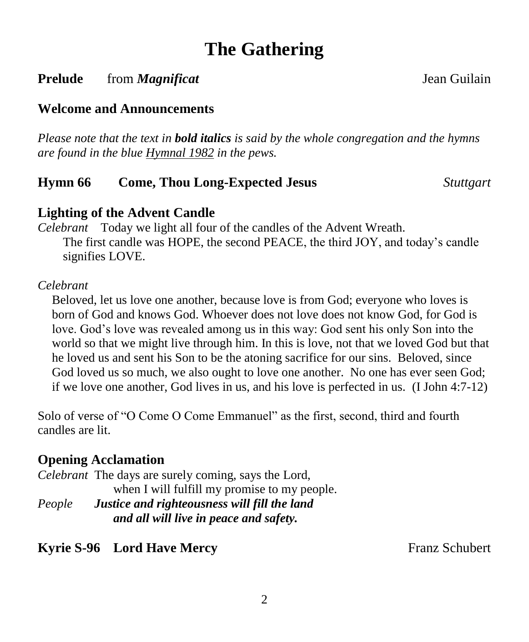# **The Gathering**

#### **Prelude** from *Magnificat* Jean Guilain

#### **Welcome and Announcements**

*Please note that the text in bold italics is said by the whole congregation and the hymns are found in the blue Hymnal 1982 in the pews.*

#### **Hymn 66 Come, Thou Long-Expected Jesus** *Stuttgart*

#### **Lighting of the Advent Candle**

*Celebrant* Today we light all four of the candles of the Advent Wreath. The first candle was HOPE, the second PEACE, the third JOY, and today's candle signifies LOVE.

#### *Celebrant*

Beloved, let us love one another, because love is from God; everyone who loves is born of God and knows God. Whoever does not love does not know God, for God is love. God's love was revealed among us in this way: God sent his only Son into the world so that we might live through him. In this is love, not that we loved God but that he loved us and sent his Son to be the atoning sacrifice for our sins. Beloved, since God loved us so much, we also ought to love one another. No one has ever seen God; if we love one another, God lives in us, and his love is perfected in us. (I John 4:7-12)

Solo of verse of "O Come O Come Emmanuel" as the first, second, third and fourth candles are lit.

#### **Opening Acclamation**

*Celebrant* The days are surely coming, says the Lord, when I will fulfill my promise to my people. *People Justice and righteousness will fill the land and all will live in peace and safety.*

**Kyrie S-96 Lord Have Mercy** Franz Schubert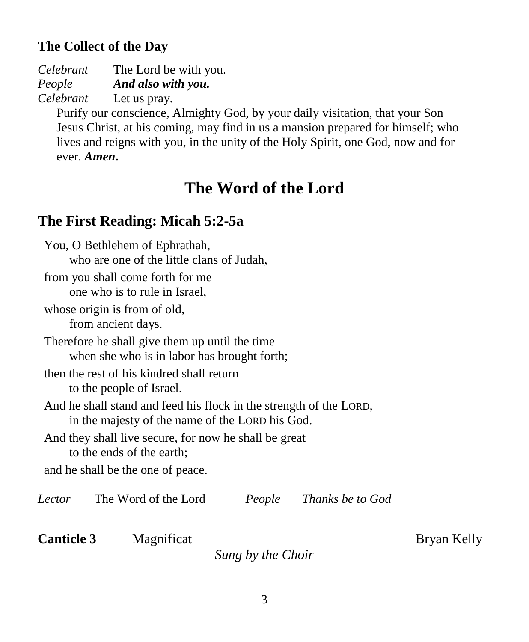### **The Collect of the Day**

*Celebrant* The Lord be with you. *People And also with you. Celebrant* Let us pray.

Purify our conscience, Almighty God, by your daily visitation, that your Son Jesus Christ, at his coming, may find in us a mansion prepared for himself; who lives and reigns with you, in the unity of the Holy Spirit, one God, now and for ever. *Amen***.**

# **The Word of the Lord**

# **The First Reading: Micah 5:2-5a**

| <b>Canticle 3</b><br>Magnificat<br>Sung by the Choir                                                     | Bryan Kelly |
|----------------------------------------------------------------------------------------------------------|-------------|
| The Word of the Lord<br>Thanks be to God<br>Lector<br>People                                             |             |
| and he shall be the one of peace.                                                                        |             |
| to the ends of the earth;                                                                                |             |
| in the majesty of the name of the LORD his God.<br>And they shall live secure, for now he shall be great |             |
| And he shall stand and feed his flock in the strength of the LORD,                                       |             |
| to the people of Israel.                                                                                 |             |
| then the rest of his kindred shall return                                                                |             |
| Therefore he shall give them up until the time<br>when she who is in labor has brought forth;            |             |
| whose origin is from of old,<br>from ancient days.                                                       |             |
| from you shall come forth for me<br>one who is to rule in Israel,                                        |             |
| who are one of the little clans of Judah,                                                                |             |
| You, O Bethlehem of Ephrathah,                                                                           |             |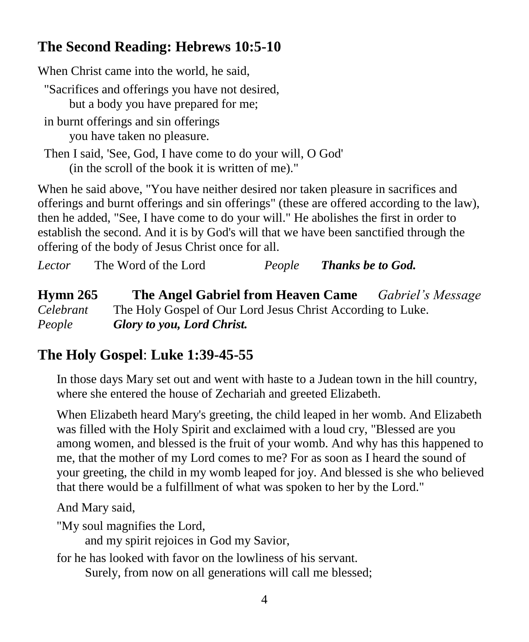# **The Second Reading: Hebrews 10:5-10**

When Christ came into the world, he said,

"Sacrifices and offerings you have not desired, but a body you have prepared for me;

in burnt offerings and sin offerings you have taken no pleasure.

Then I said, 'See, God, I have come to do your will, O God' (in the scroll of the book it is written of me)."

When he said above, "You have neither desired nor taken pleasure in sacrifices and offerings and burnt offerings and sin offerings" (these are offered according to the law), then he added, "See, I have come to do your will." He abolishes the first in order to establish the second. And it is by God's will that we have been sanctified through the offering of the body of Jesus Christ once for all.

*Lector* The Word of the Lord *People Thanks be to God.*

**Hymn 265 The Angel Gabriel from Heaven Came** *Gabriel's Message Celebrant* The Holy Gospel of Our Lord Jesus Christ According to Luke. *People Glory to you, Lord Christ.*

# **The Holy Gospel**: **Luke 1:39-45-55**

In those days Mary set out and went with haste to a Judean town in the hill country, where she entered the house of Zechariah and greeted Elizabeth.

When Elizabeth heard Mary's greeting, the child leaped in her womb. And Elizabeth was filled with the Holy Spirit and exclaimed with a loud cry, "Blessed are you among women, and blessed is the fruit of your womb. And why has this happened to me, that the mother of my Lord comes to me? For as soon as I heard the sound of your greeting, the child in my womb leaped for joy. And blessed is she who believed that there would be a fulfillment of what was spoken to her by the Lord."

And Mary said,

"My soul magnifies the Lord,

and my spirit rejoices in God my Savior,

for he has looked with favor on the lowliness of his servant.

Surely, from now on all generations will call me blessed;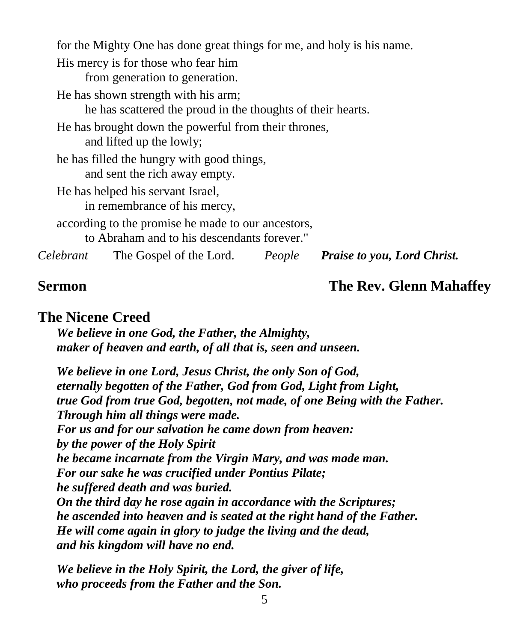|           | for the Mighty One has done great things for me, and holy is his name.                             |        |                                    |
|-----------|----------------------------------------------------------------------------------------------------|--------|------------------------------------|
|           | His mercy is for those who fear him<br>from generation to generation.                              |        |                                    |
|           | He has shown strength with his arm;<br>he has scattered the proud in the thoughts of their hearts. |        |                                    |
|           | He has brought down the powerful from their thrones,<br>and lifted up the lowly;                   |        |                                    |
|           | he has filled the hungry with good things,<br>and sent the rich away empty.                        |        |                                    |
|           | He has helped his servant Israel,<br>in remembrance of his mercy,                                  |        |                                    |
|           | according to the promise he made to our ancestors,<br>to Abraham and to his descendants forever."  |        |                                    |
| Celebrant | The Gospel of the Lord.                                                                            | People | <b>Praise to you, Lord Christ.</b> |

### **Sermon The Rev. Glenn Mahaffey**

#### **The Nicene Creed**

*We believe in one God, the Father, the Almighty, maker of heaven and earth, of all that is, seen and unseen.*

*We believe in one Lord, Jesus Christ, the only Son of God, eternally begotten of the Father, God from God, Light from Light, true God from true God, begotten, not made, of one Being with the Father. Through him all things were made. For us and for our salvation he came down from heaven: by the power of the Holy Spirit he became incarnate from the Virgin Mary, and was made man. For our sake he was crucified under Pontius Pilate; he suffered death and was buried. On the third day he rose again in accordance with the Scriptures; he ascended into heaven and is seated at the right hand of the Father. He will come again in glory to judge the living and the dead, and his kingdom will have no end.*

*We believe in the Holy Spirit, the Lord, the giver of life, who proceeds from the Father and the Son.*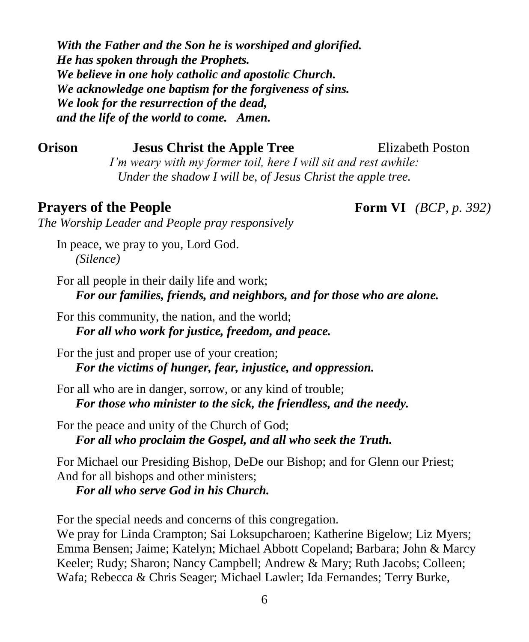*With the Father and the Son he is worshiped and glorified. He has spoken through the Prophets. We believe in one holy catholic and apostolic Church. We acknowledge one baptism for the forgiveness of sins. We look for the resurrection of the dead, and the life of the world to come. Amen.*

#### **Orison Jesus Christ the Apple Tree** Elizabeth Poston

*I'm weary with my former toil, here I will sit and rest awhile: Under the shadow I will be, of Jesus Christ the apple tree.*

**Prayers of the People Form VI** *(BCP, p. 392)* 

*The Worship Leader and People pray responsively*

In peace, we pray to you, Lord God. *(Silence)*

For all people in their daily life and work; *For our families, friends, and neighbors, and for those who are alone.*

For this community, the nation, and the world; *For all who work for justice, freedom, and peace.*

For the just and proper use of your creation; *For the victims of hunger, fear, injustice, and oppression.*

For all who are in danger, sorrow, or any kind of trouble; *For those who minister to the sick, the friendless, and the needy.*

For the peace and unity of the Church of God; *For all who proclaim the Gospel, and all who seek the Truth.*

For Michael our Presiding Bishop, DeDe our Bishop; and for Glenn our Priest; And for all bishops and other ministers;

*For all who serve God in his Church.*

For the special needs and concerns of this congregation.

We pray for Linda Crampton; Sai Loksupcharoen; Katherine Bigelow; Liz Myers; Emma Bensen; Jaime; Katelyn; Michael Abbott Copeland; Barbara; John & Marcy Keeler; Rudy; Sharon; Nancy Campbell; Andrew & Mary; Ruth Jacobs; Colleen; Wafa; Rebecca & Chris Seager; Michael Lawler; Ida Fernandes; Terry Burke,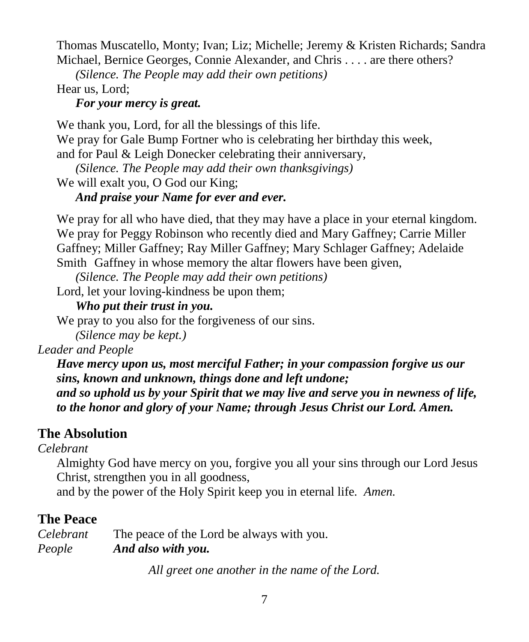Thomas Muscatello, Monty; Ivan; Liz; Michelle; Jeremy & Kristen Richards; Sandra Michael, Bernice Georges, Connie Alexander, and Chris . . . . are there others?

*(Silence. The People may add their own petitions)* Hear us, Lord;

#### *For your mercy is great.*

We thank you, Lord, for all the blessings of this life. We pray for Gale Bump Fortner who is celebrating her birthday this week, and for Paul & Leigh Donecker celebrating their anniversary,

*(Silence. The People may add their own thanksgivings)* We will exalt you, O God our King:

#### *And praise your Name for ever and ever.*

We pray for all who have died, that they may have a place in your eternal kingdom. We pray for Peggy Robinson who recently died and Mary Gaffney; Carrie Miller Gaffney; Miller Gaffney; Ray Miller Gaffney; Mary Schlager Gaffney; Adelaide Smith Gaffney in whose memory the altar flowers have been given,

*(Silence. The People may add their own petitions)*

Lord, let your loving-kindness be upon them;

*Who put their trust in you.*

We pray to you also for the forgiveness of our sins.

*(Silence may be kept.)*

*Leader and People*

*Have mercy upon us, most merciful Father; in your compassion forgive us our sins, known and unknown, things done and left undone; and so uphold us by your Spirit that we may live and serve you in newness of life, to the honor and glory of your Name; through Jesus Christ our Lord. Amen.*

### **The Absolution**

*Celebrant*

Almighty God have mercy on you, forgive you all your sins through our Lord Jesus Christ, strengthen you in all goodness,

and by the power of the Holy Spirit keep you in eternal life*. Amen.*

### **The Peace**

| Celebrant | The peace of the Lord be always with you. |
|-----------|-------------------------------------------|
| People    | And also with you.                        |

*All greet one another in the name of the Lord.*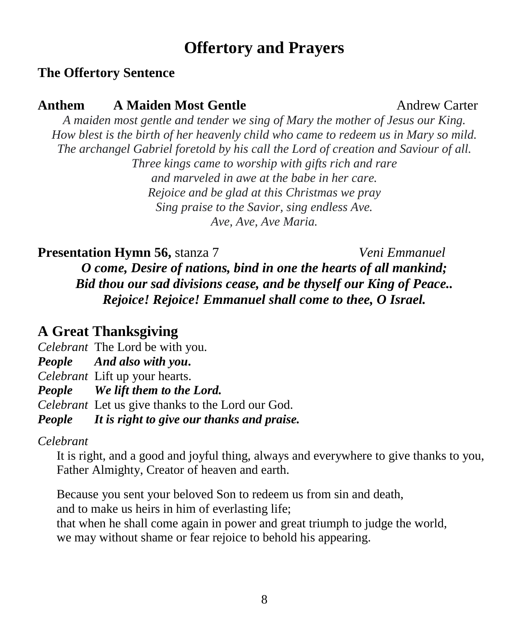# **Offertory and Prayers**

#### **The Offertory Sentence**

#### **Anthem A Maiden Most Gentle Andrew Carter Andrew Carter**

*A maiden most gentle and tender we sing of Mary the mother of Jesus our King. How blest is the birth of her heavenly child who came to redeem us in Mary so mild. The archangel Gabriel foretold by his call the Lord of creation and Saviour of all. Three kings came to worship with gifts rich and rare and marveled in awe at the babe in her care. Rejoice and be glad at this Christmas we pray Sing praise to the Savior, sing endless Ave. Ave, Ave, Ave Maria.*

**Presentation Hymn 56,** stanza 7 *Veni Emmanuel O come, Desire of nations, bind in one the hearts of all mankind; Bid thou our sad divisions cease, and be thyself our King of Peace.. Rejoice! Rejoice! Emmanuel shall come to thee, O Israel.*

# **A Great Thanksgiving**

*Celebrant* The Lord be with you.

*People And also with you***.**

*Celebrant* Lift up your hearts.

*People We lift them to the Lord.*

*Celebrant* Let us give thanks to the Lord our God.

*People It is right to give our thanks and praise.*

*Celebrant* 

It is right, and a good and joyful thing, always and everywhere to give thanks to you, Father Almighty, Creator of heaven and earth.

Because you sent your beloved Son to redeem us from sin and death,

and to make us heirs in him of everlasting life;

that when he shall come again in power and great triumph to judge the world, we may without shame or fear rejoice to behold his appearing.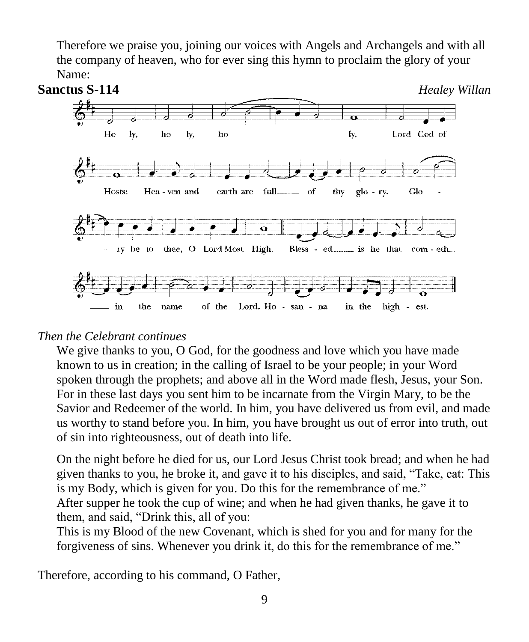Therefore we praise you, joining our voices with Angels and Archangels and with all the company of heaven, who for ever sing this hymn to proclaim the glory of your Name:



#### *Then the Celebrant continues*

We give thanks to you, O God, for the goodness and love which you have made known to us in creation; in the calling of Israel to be your people; in your Word spoken through the prophets; and above all in the Word made flesh, Jesus, your Son. For in these last days you sent him to be incarnate from the Virgin Mary, to be the Savior and Redeemer of the world. In him, you have delivered us from evil, and made us worthy to stand before you. In him, you have brought us out of error into truth, out of sin into righteousness, out of death into life.

On the night before he died for us, our Lord Jesus Christ took bread; and when he had given thanks to you, he broke it, and gave it to his disciples, and said, "Take, eat: This is my Body, which is given for you. Do this for the remembrance of me." After supper he took the cup of wine; and when he had given thanks, he gave it to them, and said, "Drink this, all of you:

This is my Blood of the new Covenant, which is shed for you and for many for the forgiveness of sins. Whenever you drink it, do this for the remembrance of me."

Therefore, according to his command, O Father,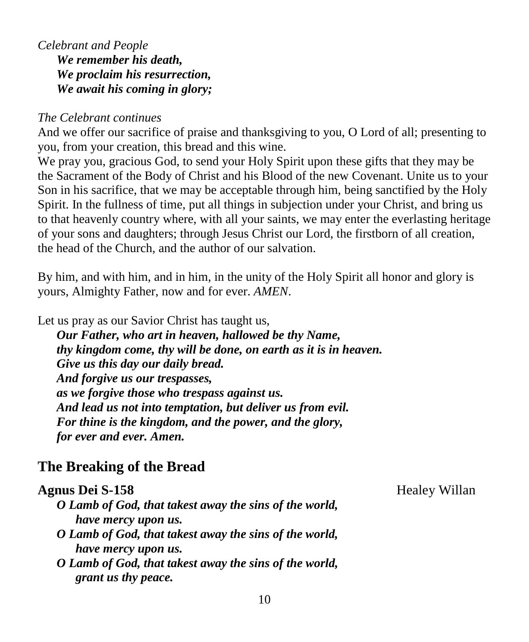#### *Celebrant and People We remember his death, We proclaim his resurrection, We await his coming in glory;*

#### *The Celebrant continues*

And we offer our sacrifice of praise and thanksgiving to you, O Lord of all; presenting to you, from your creation, this bread and this wine.

We pray you, gracious God, to send your Holy Spirit upon these gifts that they may be the Sacrament of the Body of Christ and his Blood of the new Covenant. Unite us to your Son in his sacrifice, that we may be acceptable through him, being sanctified by the Holy Spirit. In the fullness of time, put all things in subjection under your Christ, and bring us to that heavenly country where, with all your saints, we may enter the everlasting heritage of your sons and daughters; through Jesus Christ our Lord, the firstborn of all creation, the head of the Church, and the author of our salvation.

By him, and with him, and in him, in the unity of the Holy Spirit all honor and glory is yours, Almighty Father, now and for ever. *AMEN*.

Let us pray as our Savior Christ has taught us, *Our Father, who art in heaven, hallowed be thy Name, thy kingdom come, thy will be done, on earth as it is in heaven. Give us this day our daily bread. And forgive us our trespasses, as we forgive those who trespass against us. And lead us not into temptation, but deliver us from evil. For thine is the kingdom, and the power, and the glory, for ever and ever. Amen.*

### **The Breaking of the Bread**

#### **Agnus Dei S-158** Healey Willan

- *O Lamb of God, that takest away the sins of the world, have mercy upon us.*
- *O Lamb of God, that takest away the sins of the world, have mercy upon us.*
- *O Lamb of God, that takest away the sins of the world, grant us thy peace.*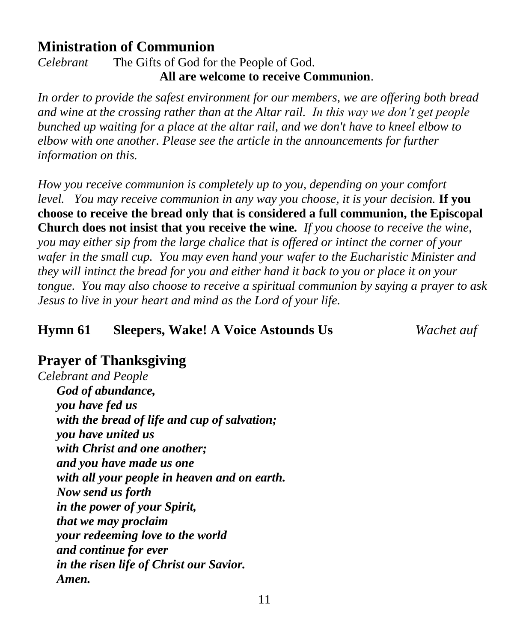### **Ministration of Communion**

*Celebrant* The Gifts of God for the People of God. **All are welcome to receive Communion**.

*In order to provide the safest environment for our members, we are offering both bread and wine at the crossing rather than at the Altar rail. In this way we don't get people bunched up waiting for a place at the altar rail, and we don't have to kneel elbow to elbow with one another. Please see the article in the announcements for further information on this.*

*How you receive communion is completely up to you, depending on your comfort level. You may receive communion in any way you choose, it is your decision.* **If you choose to receive the bread only that is considered a full communion, the Episcopal Church does not insist that you receive the wine***. If you choose to receive the wine, you may either sip from the large chalice that is offered or intinct the corner of your wafer in the small cup. You may even hand your wafer to the Eucharistic Minister and they will intinct the bread for you and either hand it back to you or place it on your tongue. You may also choose to receive a spiritual communion by saying a prayer to ask Jesus to live in your heart and mind as the Lord of your life.*

#### **Hymn 61 Sleepers, Wake! A Voice Astounds Us** *Wachet auf*

# **Prayer of Thanksgiving**

*Celebrant and People God of abundance, you have fed us with the bread of life and cup of salvation; you have united us with Christ and one another; and you have made us one with all your people in heaven and on earth. Now send us forth in the power of your Spirit, that we may proclaim your redeeming love to the world and continue for ever in the risen life of Christ our Savior. Amen.*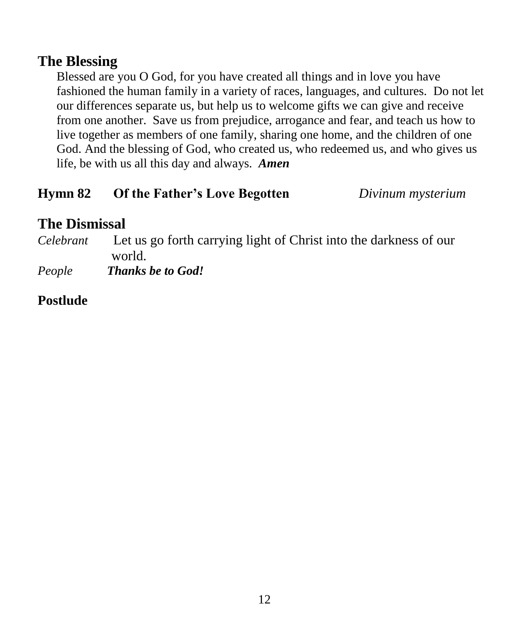## **The Blessing**

Blessed are you O God, for you have created all things and in love you have fashioned the human family in a variety of races, languages, and cultures. Do not let our differences separate us, but help us to welcome gifts we can give and receive from one another. Save us from prejudice, arrogance and fear, and teach us how to live together as members of one family, sharing one home, and the children of one God. And the blessing of God, who created us, who redeemed us, and who gives us life, be with us all this day and always. *Amen*

#### **Hymn 82 Of the Father's Love Begotten** *Divinum mysterium*

# **The Dismissal**

*Celebrant* Let us go forth carrying light of Christ into the darkness of our world. *People Thanks be to God!*

### **Postlude**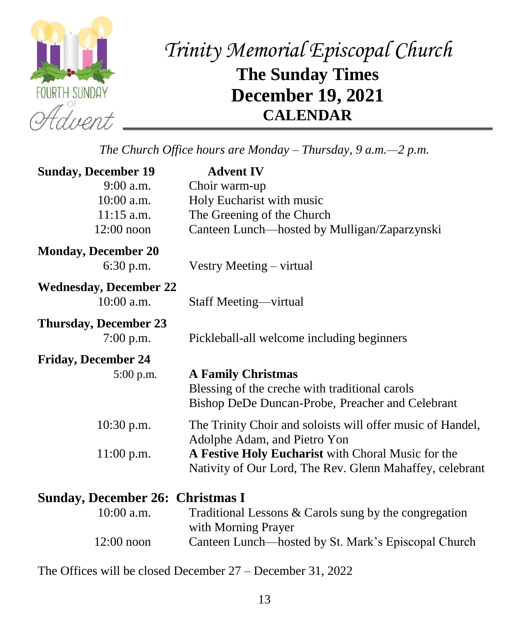

# *Trinity Memorial Episcopal Church* **The Sunday Times December 19, 2021 CALENDAR**

*The Church Office hours are Monday – Thursday, 9 a.m.—2 p.m.* 

| <b>Sunday, December 19</b>       | <b>Advent IV</b>                                           |
|----------------------------------|------------------------------------------------------------|
| $9:00$ a.m.                      | Choir warm-up                                              |
| 10:00 a.m.                       | Holy Eucharist with music                                  |
| $11:15$ a.m.                     | The Greening of the Church                                 |
| $12:00$ noon                     | Canteen Lunch-hosted by Mulligan/Zaparzynski               |
| <b>Monday, December 20</b>       |                                                            |
| $6:30$ p.m.                      | Vestry Meeting – virtual                                   |
| <b>Wednesday, December 22</b>    |                                                            |
| 10:00 a.m.                       | Staff Meeting—virtual                                      |
| <b>Thursday, December 23</b>     |                                                            |
| $7:00$ p.m.                      | Pickleball-all welcome including beginners                 |
| <b>Friday, December 24</b>       |                                                            |
| 5:00 p.m.                        | <b>A Family Christmas</b>                                  |
|                                  | Blessing of the creche with traditional carols             |
|                                  | Bishop DeDe Duncan-Probe, Preacher and Celebrant           |
| $10:30$ p.m.                     | The Trinity Choir and soloists will offer music of Handel, |
|                                  | Adolphe Adam, and Pietro Yon                               |
| $11:00$ p.m.                     | A Festive Holy Eucharist with Choral Music for the         |
|                                  | Nativity of Our Lord, The Rev. Glenn Mahaffey, celebrant   |
| Sunday, December 26: Christmas I |                                                            |
| 10:00 a.m.                       | Traditional Lessons & Carols sung by the congregation      |
|                                  | with Morning Prayer                                        |

The Offices will be closed December 27 – December 31, 2022

12:00 noon Canteen Lunch—hosted by St. Mark's Episcopal Church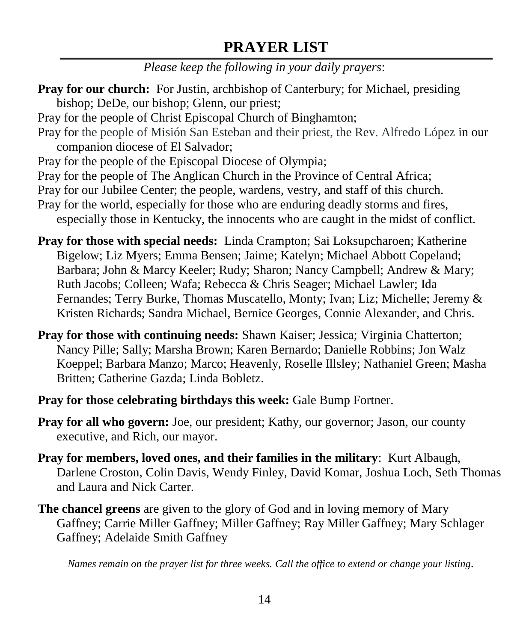# **PRAYER LIST**

#### *Please keep the following in your daily prayers*:

- **Pray for our church:** For Justin, archbishop of Canterbury; for Michael, presiding bishop; DeDe, our bishop; Glenn, our priest; Pray for the people of Christ Episcopal Church of Binghamton; Pray for the people of Misión San Esteban and their priest, the Rev. Alfredo López in our companion diocese of El Salvador; Pray for the people of the Episcopal Diocese of Olympia; Pray for the people of The Anglican Church in the Province of Central Africa; Pray for our Jubilee Center; the people, wardens, vestry, and staff of this church. Pray for the world, especially for those who are enduring deadly storms and fires, especially those in Kentucky, the innocents who are caught in the midst of conflict.
- **Pray for those with special needs:** Linda Crampton; Sai Loksupcharoen; Katherine Bigelow; Liz Myers; Emma Bensen; Jaime; Katelyn; Michael Abbott Copeland; Barbara; John & Marcy Keeler; Rudy; Sharon; Nancy Campbell; Andrew & Mary; Ruth Jacobs; Colleen; Wafa; Rebecca & Chris Seager; Michael Lawler; Ida Fernandes; Terry Burke, Thomas Muscatello, Monty; Ivan; Liz; Michelle; Jeremy & Kristen Richards; Sandra Michael, Bernice Georges, Connie Alexander, and Chris.
- **Pray for those with continuing needs:** Shawn Kaiser; Jessica; Virginia Chatterton; Nancy Pille; Sally; Marsha Brown; Karen Bernardo; Danielle Robbins; Jon Walz Koeppel; Barbara Manzo; Marco; Heavenly, Roselle Illsley; Nathaniel Green; Masha Britten; Catherine Gazda; Linda Bobletz.
- **Pray for those celebrating birthdays this week:** Gale Bump Fortner.
- **Pray for all who govern:** Joe, our president; Kathy, our governor; Jason, our county executive, and Rich, our mayor.
- **Pray for members, loved ones, and their families in the military**: Kurt Albaugh, Darlene Croston, Colin Davis, Wendy Finley, David Komar, Joshua Loch, Seth Thomas and Laura and Nick Carter.
- **The chancel greens** are given to the glory of God and in loving memory of Mary Gaffney; Carrie Miller Gaffney; Miller Gaffney; Ray Miller Gaffney; Mary Schlager Gaffney; Adelaide Smith Gaffney

*Names remain on the prayer list for three weeks. Call the office to extend or change your listing.*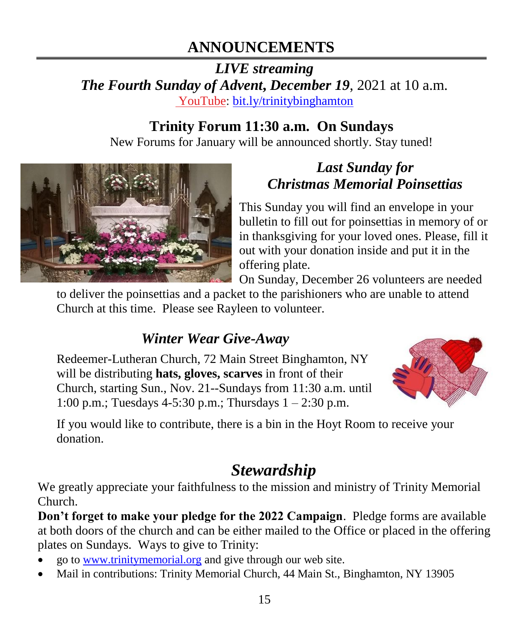# **ANNOUNCEMENTS**

*LIVE streaming The Fourth Sunday of Advent***,** *December 19*, 2021 at 10 a.m. [YouTube:](https://bit.ly/trinitybinghamton) [bit.ly/trinitybinghamton](https://bit.ly/trinitybinghamton)

# **Trinity Forum 11:30 a.m. On Sundays**

New Forums for January will be announced shortly. Stay tuned!



# *Last Sunday for Christmas Memorial Poinsettias*

This Sunday you will find an envelope in your bulletin to fill out for poinsettias in memory of or in thanksgiving for your loved ones. Please, fill it out with your donation inside and put it in the offering plate.

On Sunday, December 26 volunteers are needed

to deliver the poinsettias and a packet to the parishioners who are unable to attend Church at this time. Please see Rayleen to volunteer.

# *Winter Wear Give-Away*

Redeemer-Lutheran Church, 72 Main Street Binghamton, NY will be distributing **hats, gloves, scarves** in front of their Church, starting Sun., Nov. 21--Sundays from 11:30 a.m. until 1:00 p.m.; Tuesdays 4-5:30 p.m.; Thursdays 1 – 2:30 p.m.



If you would like to contribute, there is a bin in the Hoyt Room to receive your donation.

# *Stewardship*

We greatly appreciate your faithfulness to the mission and ministry of Trinity Memorial Church.

**Don't forget to make your pledge for the 2022 Campaign**. Pledge forms are available at both doors of the church and can be either mailed to the Office or placed in the offering plates on Sundays. Ways to give to Trinity:

- go to [www.trinitymemorial.org](http://www.trinitymemorial.org/) and give through our web site.
- Mail in contributions: Trinity Memorial Church, 44 Main St., Binghamton, NY 13905